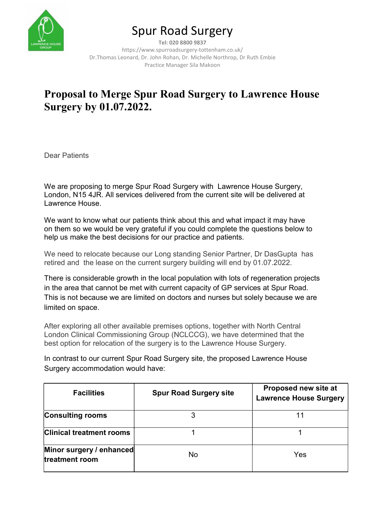

# Spur Road Surgery

Tel: 020 8800 9837 https://www.spurroadsurgery-tottenham.co.uk/ Dr.Thomas Leonard, Dr. John Rohan, Dr. Michelle Northrop, Dr Ruth Embie Practice Manager Sila Makoon

## Proposal to Merge Spur Road Surgery to Lawrence House Surgery by 01.07.2022.

Dear Patients

We are proposing to merge Spur Road Surgery with Lawrence House Surgery, London, N15 4JR. All services delivered from the current site will be delivered at Lawrence House.

We want to know what our patients think about this and what impact it may have on them so we would be very grateful if you could complete the questions below to help us make the best decisions for our practice and patients.

We need to relocate because our Long standing Senior Partner, Dr DasGupta has retired and the lease on the current surgery building will end by 01.07.2022.

There is considerable growth in the local population with lots of regeneration projects in the area that cannot be met with current capacity of GP services at Spur Road. This is not because we are limited on doctors and nurses but solely because we are limited on space.

After exploring all other available premises options, together with North Central London Clinical Commissioning Group (NCLCCG), we have determined that the best option for relocation of the surgery is to the Lawrence House Surgery.

In contrast to our current Spur Road Surgery site, the proposed Lawrence House Surgery accommodation would have:

| <b>Facilities</b>                          | <b>Spur Road Surgery site</b> | Proposed new site at<br><b>Lawrence House Surgery</b> |  |
|--------------------------------------------|-------------------------------|-------------------------------------------------------|--|
| <b>Consulting rooms</b>                    |                               |                                                       |  |
| <b>Clinical treatment rooms</b>            |                               |                                                       |  |
| Minor surgery / enhanced<br>treatment room | <b>No</b>                     | Yes                                                   |  |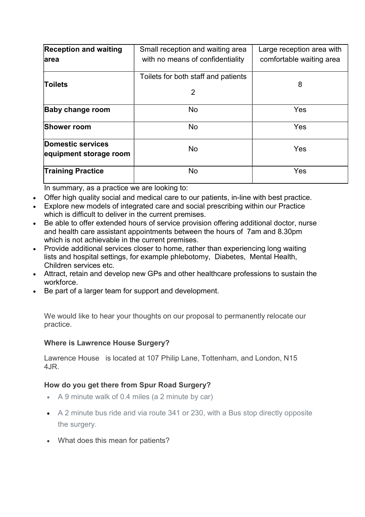| <b>Reception and waiting</b><br>larea       | Small reception and waiting area<br>with no means of confidentiality | Large reception area with<br>comfortable waiting area<br>8 |  |
|---------------------------------------------|----------------------------------------------------------------------|------------------------------------------------------------|--|
| Toilets                                     | Toilets for both staff and patients<br>2                             |                                                            |  |
| <b>Baby change room</b>                     | <b>No</b>                                                            | Yes                                                        |  |
| <b>Shower room</b>                          | No                                                                   | Yes                                                        |  |
| Domestic services<br>equipment storage room | <b>No</b>                                                            | Yes                                                        |  |
| <b>Training Practice</b>                    | No                                                                   | Yes                                                        |  |

In summary, as a practice we are looking to:

- Offer high quality social and medical care to our patients, in-line with best practice.
- Explore new models of integrated care and social prescribing within our Practice which is difficult to deliver in the current premises.
- Be able to offer extended hours of service provision offering additional doctor, nurse and health care assistant appointments between the hours of 7am and 8.30pm which is not achievable in the current premises.
- Provide additional services closer to home, rather than experiencing long waiting lists and hospital settings, for example phlebotomy, Diabetes, Mental Health, Children services etc.
- Attract, retain and develop new GPs and other healthcare professions to sustain the workforce.
- Be part of a larger team for support and development.

We would like to hear your thoughts on our proposal to permanently relocate our practice.

## Where is Lawrence House Surgery?

Lawrence House is located at 107 Philip Lane, Tottenham, and London, N15 4JR.

## How do you get there from Spur Road Surgery?

- A 9 minute walk of 0.4 miles (a 2 minute by car)
- A 2 minute bus ride and via route 341 or 230, with a Bus stop directly opposite the surgery.
- What does this mean for patients?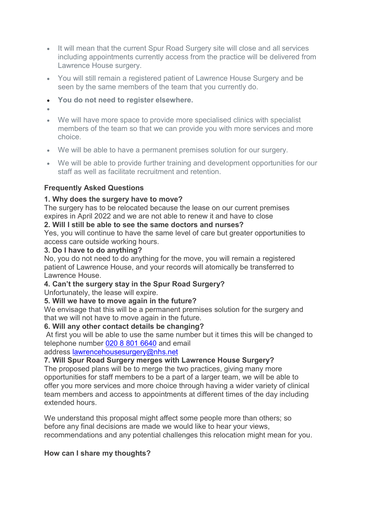- It will mean that the current Spur Road Surgery site will close and all services including appointments currently access from the practice will be delivered from Lawrence House surgery.
- You will still remain a registered patient of Lawrence House Surgery and be seen by the same members of the team that you currently do.
- You do not need to register elsewhere.
- $\bullet$
- We will have more space to provide more specialised clinics with specialist members of the team so that we can provide you with more services and more choice.
- We will be able to have a permanent premises solution for our surgery.
- We will be able to provide further training and development opportunities for our staff as well as facilitate recruitment and retention.

## Frequently Asked Questions

## 1. Why does the surgery have to move?

The surgery has to be relocated because the lease on our current premises expires in April 2022 and we are not able to renew it and have to close

## 2. Will I still be able to see the same doctors and nurses?

Yes, you will continue to have the same level of care but greater opportunities to access care outside working hours.

## 3. Do I have to do anything?

No, you do not need to do anything for the move, you will remain a registered patient of Lawrence House, and your records will atomically be transferred to Lawrence House.

## 4. Can't the surgery stay in the Spur Road Surgery?

Unfortunately, the lease will expire.

## 5. Will we have to move again in the future?

We envisage that this will be a permanent premises solution for the surgery and that we will not have to move again in the future.

## 6. Will any other contact details be changing?

 At first you will be able to use the same number but it times this will be changed to telephone number 020 8 801 6640 and email

## address lawrencehousesurgery@nhs.net

## 7. Will Spur Road Surgery merges with Lawrence House Surgery?

The proposed plans will be to merge the two practices, giving many more opportunities for staff members to be a part of a larger team, we will be able to offer you more services and more choice through having a wider variety of clinical team members and access to appointments at different times of the day including extended hours.

We understand this proposal might affect some people more than others; so before any final decisions are made we would like to hear your views, recommendations and any potential challenges this relocation might mean for you.

## How can I share my thoughts?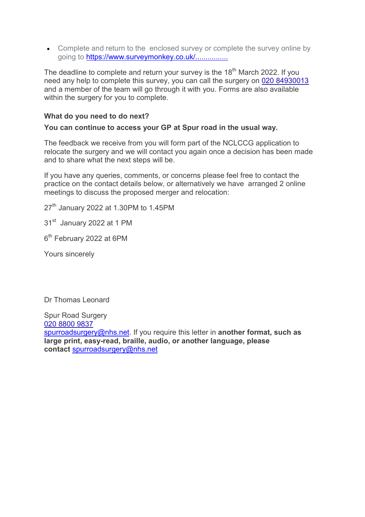• Complete and return to the enclosed survey or complete the survey online by going to https://www.surveymonkey.co.uk/...............

The deadline to complete and return your survey is the 18<sup>th</sup> March 2022. If you need any help to complete this survey, you can call the surgery on 020 84930013 and a member of the team will go through it with you. Forms are also available within the surgery for you to complete.

### What do you need to do next?

#### You can continue to access your GP at Spur road in the usual way.

The feedback we receive from you will form part of the NCLCCG application to relocate the surgery and we will contact you again once a decision has been made and to share what the next steps will be.

If you have any queries, comments, or concerns please feel free to contact the practice on the contact details below, or alternatively we have arranged 2 online meetings to discuss the proposed merger and relocation:

 $27<sup>th</sup>$  January 2022 at 1.30PM to 1.45PM

31<sup>st</sup> January 2022 at 1 PM

6<sup>th</sup> February 2022 at 6PM

Yours sincerely

Dr Thomas Leonard

Spur Road Surgery 020 8800 9837 spurroadsurgery@nhs.net. If you require this letter in another format, such as large print, easy-read, braille, audio, or another language, please contact spurroadsurgery@nhs.net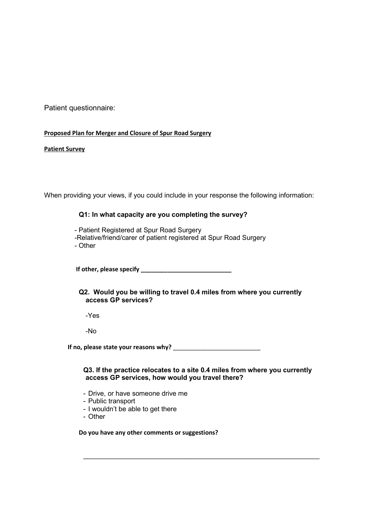Patient questionnaire:

#### Proposed Plan for Merger and Closure of Spur Road Surgery

#### Patient Survey

When providing your views, if you could include in your response the following information:

#### Q1: In what capacity are you completing the survey?

- Patient Registered at Spur Road Surgery -Relative/friend/carer of patient registered at Spur Road Surgery - Other

If other, please specify \_\_\_\_\_\_\_\_\_\_\_\_\_\_\_\_\_\_\_\_\_\_\_\_\_\_\_

Q2. Would you be willing to travel 0.4 miles from where you currently access GP services?

-Yes

-No

If no, please state your reasons why? \_\_\_\_\_\_\_\_\_\_\_\_\_\_\_\_\_\_\_\_\_\_\_\_\_\_

Q3. If the practice relocates to a site 0.4 miles from where you currently access GP services, how would you travel there?

 $\_$  , and the contribution of the contribution of  $\mathcal{L}_\mathcal{A}$  , and the contribution of  $\mathcal{L}_\mathcal{A}$ 

- Drive, or have someone drive me
- Public transport
- I wouldn't be able to get there
- Other

Do you have any other comments or suggestions?